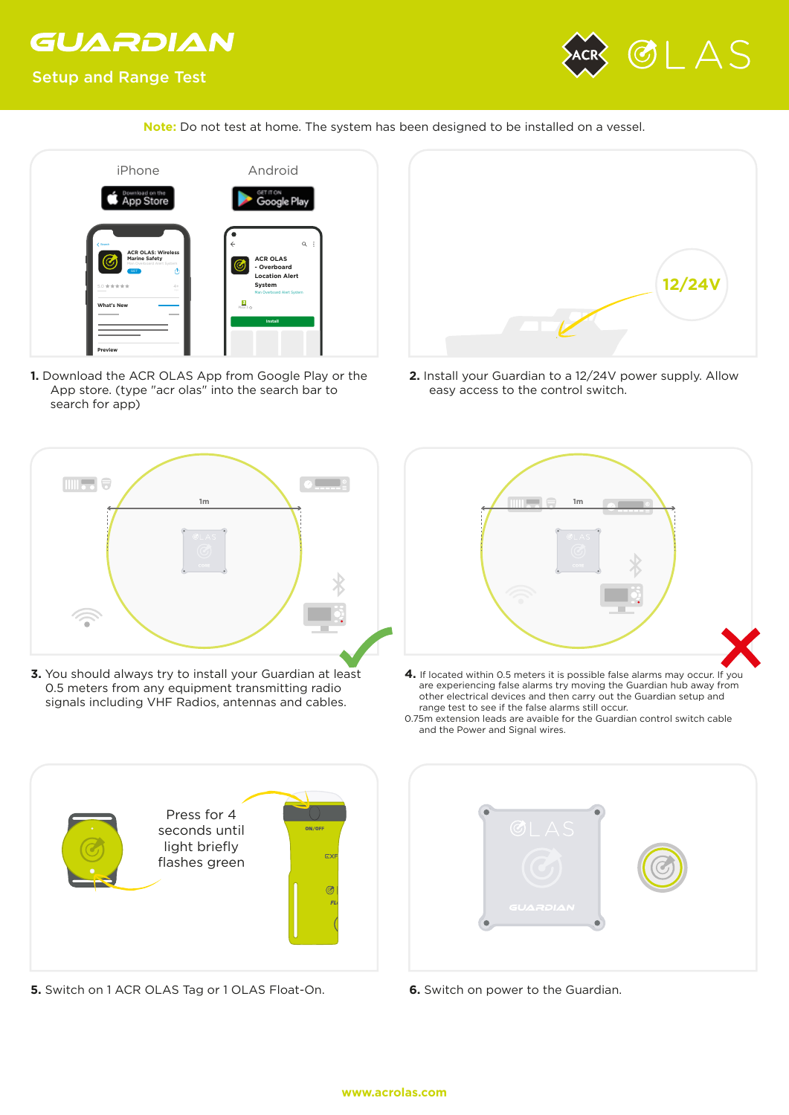## GUARDIAN



## Setup and Range Test

**Note:** Do not test at home. The system has been designed to be installed on a vessel.



**1.** Download the ACR OLAS App from Google Play or the App store. (type "acr olas" into the search bar to search for app)



**3.** You should always try to install your Guardian at least 0.5 meters from any equipment transmitting radio signals including VHF Radios, antennas and cables.



**2.** Install your Guardian to a 12/24V power supply. Allow easy access to the control switch.



- **4.** If located within 0.5 meters it is possible false alarms may occur. If you are experiencing false alarms try moving the Guardian hub away from other electrical devices and then carry out the Guardian setup and range test to see if the false alarms still occur.
- 0.75m extension leads are avaible for the Guardian control switch cable and the Power and Signal wires.



**5.** Switch on 1 ACR OLAS Tag or 1 OLAS Float-On. **6.** Switch on power to the Guardian.

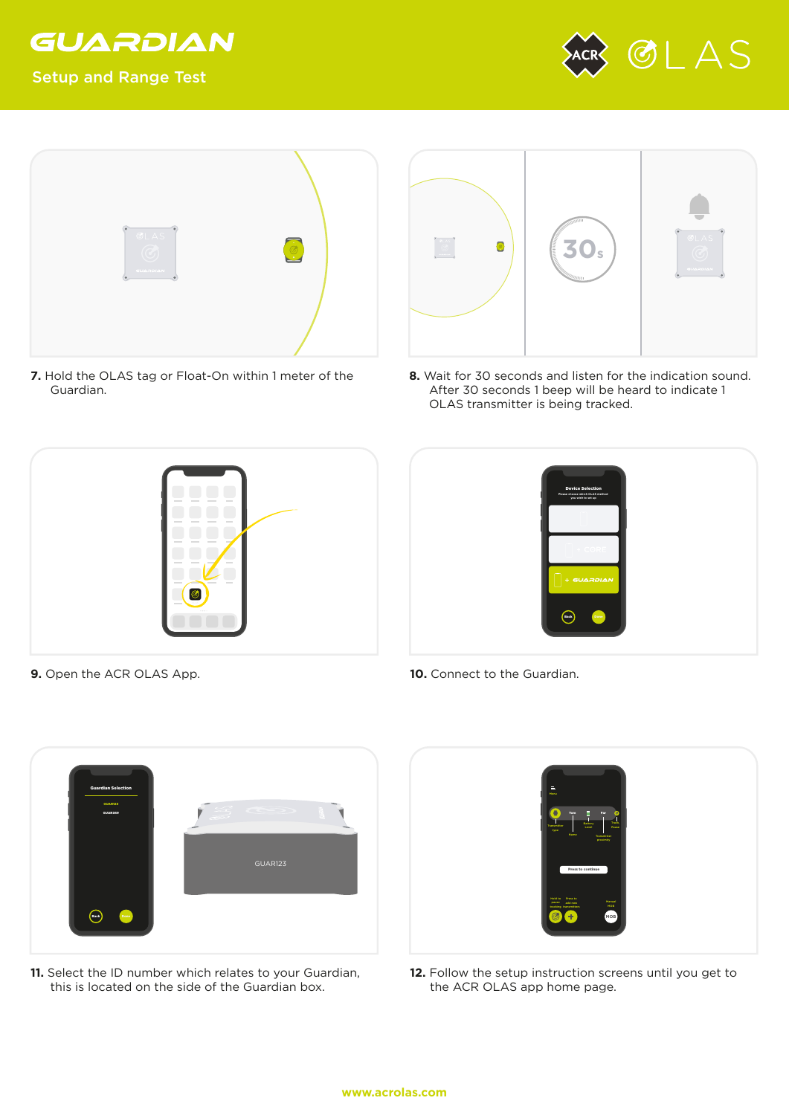

## Setup and Range Test





**7.** Hold the OLAS tag or Float-On within 1 meter of the Guardian.



**8.** Wait for 30 seconds and listen for the indication sound. After 30 seconds 1 beep will be heard to indicate 1 OLAS transmitter is being tracked.





- **9.** Open the ACR OLAS App. **10.** Connect to the Guardian.
	-



**11.** Select the ID number which relates to your Guardian, this is located on the side of the Guardian box.



12. Follow the setup instruction screens until you get to the ACR OLAS app home page.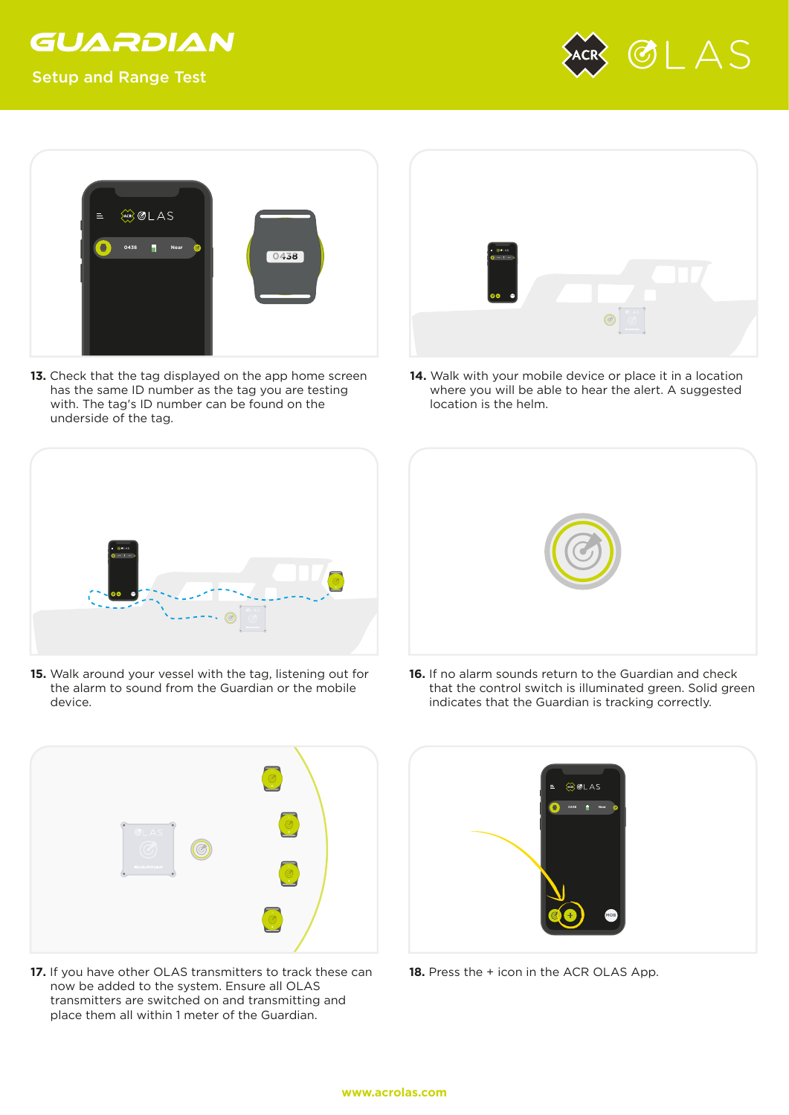

Setup and Range Test





13. Check that the tag displayed on the app home screen has the same ID number as the tag you are testing with. The tag's ID number can be found on the underside of the tag.



**14.** Walk with your mobile device or place it in a location where you will be able to hear the alert. A suggested location is the helm.



**15.** Walk around your vessel with the tag, listening out for the alarm to sound from the Guardian or the mobile device.



**16.** If no alarm sounds return to the Guardian and check that the control switch is illuminated green. Solid green indicates that the Guardian is tracking correctly.



**17.** If you have other OLAS transmitters to track these can now be added to the system. Ensure all OLAS transmitters are switched on and transmitting and place them all within 1 meter of the Guardian.



18. Press the + icon in the ACR OLAS App.